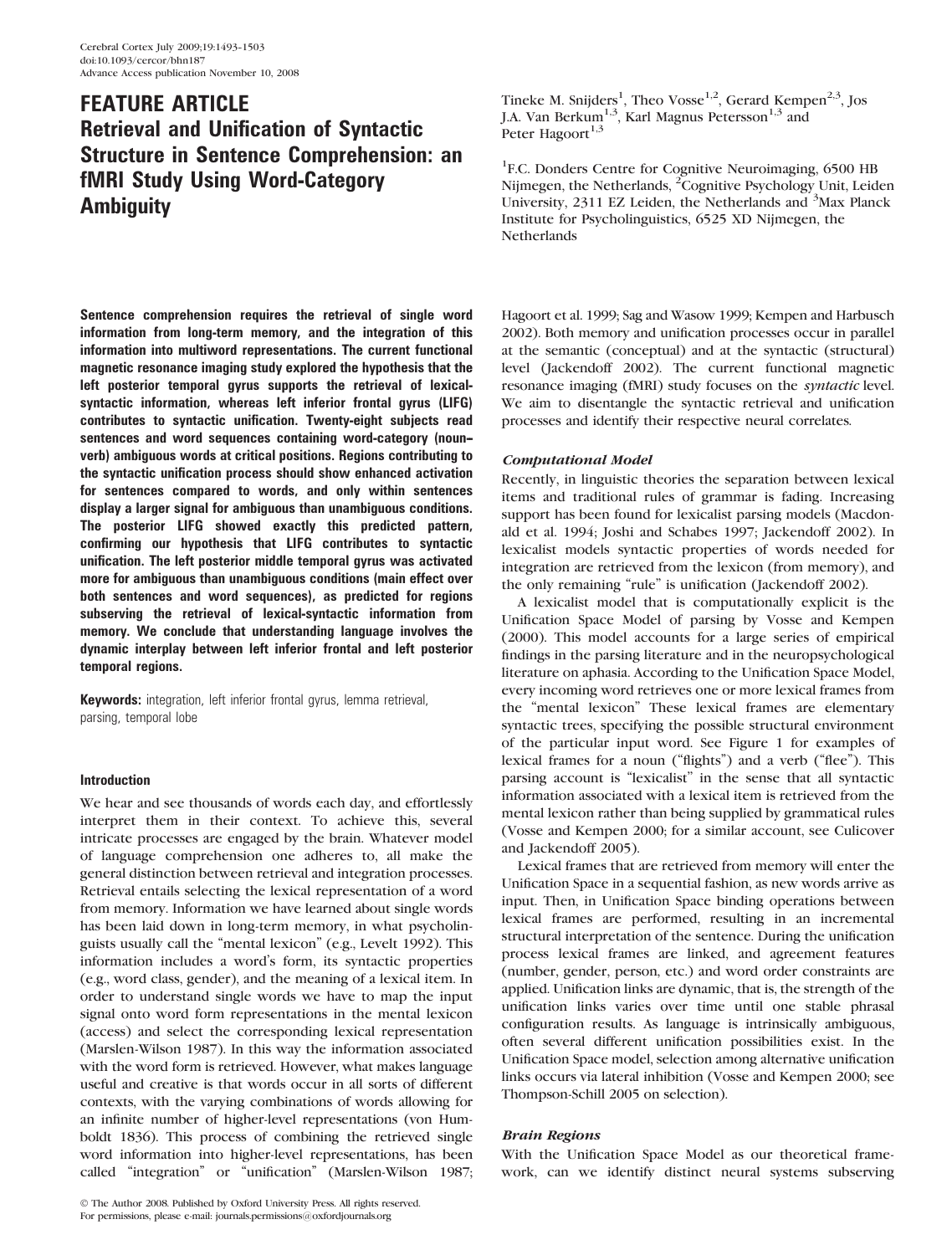# FEATURE ARTICLE Retrieval and Unification of Syntactic Structure in Sentence Comprehension: an fMRI Study Using Word-Category **Ambiguity**

Sentence comprehension requires the retrieval of single word information from long-term memory, and the integration of this information into multiword representations. The current functional magnetic resonance imaging study explored the hypothesis that the left posterior temporal gyrus supports the retrieval of lexicalsyntactic information, whereas left inferior frontal gyrus (LIFG) contributes to syntactic unification. Twenty-eight subjects read sentences and word sequences containing word-category (noun- verb) ambiguous words at critical positions. Regions contributing to the syntactic unification process should show enhanced activation for sentences compared to words, and only within sentences display a larger signal for ambiguous than unambiguous conditions. The posterior LIFG showed exactly this predicted pattern, confirming our hypothesis that LIFG contributes to syntactic unification. The left posterior middle temporal gyrus was activated more for ambiguous than unambiguous conditions (main effect over both sentences and word sequences), as predicted for regions subserving the retrieval of lexical-syntactic information from memory. We conclude that understanding language involves the dynamic interplay between left inferior frontal and left posterior temporal regions.

Keywords: integration, left inferior frontal gyrus, lemma retrieval, parsing, temporal lobe

# Introduction

We hear and see thousands of words each day, and effortlessly interpret them in their context. To achieve this, several intricate processes are engaged by the brain. Whatever model of language comprehension one adheres to, all make the general distinction between retrieval and integration processes. Retrieval entails selecting the lexical representation of a word from memory. Information we have learned about single words has been laid down in long-term memory, in what psycholinguists usually call the "mental lexicon" (e.g., Levelt 1992). This information includes a word's form, its syntactic properties (e.g., word class, gender), and the meaning of a lexical item. In order to understand single words we have to map the input signal onto word form representations in the mental lexicon (access) and select the corresponding lexical representation (Marslen-Wilson 1987). In this way the information associated with the word form is retrieved. However, what makes language useful and creative is that words occur in all sorts of different contexts, with the varying combinations of words allowing for an infinite number of higher-level representations (von Humboldt 1836). This process of combining the retrieved single word information into higher-level representations, has been called ''integration'' or ''unification'' (Marslen-Wilson 1987;

Tineke M. Snijders<sup>1</sup>, Theo Vosse<sup>1,2</sup>, Gerard Kempen<sup>2,3</sup>, Jos J.A. Van Berkum<sup>1,3</sup>, Karl Magnus Petersson<sup>1,3</sup> and Peter Hagoort<sup>1,3</sup>

<sup>1</sup>F.C. Donders Centre for Cognitive Neuroimaging, 6500 HB Nijmegen, the Netherlands, <sup>2</sup>Cognitive Psychology Unit, Leiden University, 2311 EZ Leiden, the Netherlands and <sup>3</sup>Max Planck Institute for Psycholinguistics, 6525 XD Nijmegen, the **Netherlands** 

Hagoort et al. 1999; Sag and Wasow 1999; Kempen and Harbusch 2002). Both memory and unification processes occur in parallel at the semantic (conceptual) and at the syntactic (structural) level (Jackendoff 2002). The current functional magnetic resonance imaging (fMRI) study focuses on the syntactic level. We aim to disentangle the syntactic retrieval and unification processes and identify their respective neural correlates.

# Computational Model

Recently, in linguistic theories the separation between lexical items and traditional rules of grammar is fading. Increasing support has been found for lexicalist parsing models (Macdonald et al. 1994; Joshi and Schabes 1997; Jackendoff 2002). In lexicalist models syntactic properties of words needed for integration are retrieved from the lexicon (from memory), and the only remaining "rule" is unification (Jackendoff 2002).

A lexicalist model that is computationally explicit is the Unification Space Model of parsing by Vosse and Kempen (2000). This model accounts for a large series of empirical findings in the parsing literature and in the neuropsychological literature on aphasia. According to the Unification Space Model, every incoming word retrieves one or more lexical frames from the ''mental lexicon'' These lexical frames are elementary syntactic trees, specifying the possible structural environment of the particular input word. See Figure 1 for examples of lexical frames for a noun ("flights") and a verb ("flee"). This parsing account is ''lexicalist'' in the sense that all syntactic information associated with a lexical item is retrieved from the mental lexicon rather than being supplied by grammatical rules (Vosse and Kempen 2000; for a similar account, see Culicover and Jackendoff 2005).

Lexical frames that are retrieved from memory will enter the Unification Space in a sequential fashion, as new words arrive as input. Then, in Unification Space binding operations between lexical frames are performed, resulting in an incremental structural interpretation of the sentence. During the unification process lexical frames are linked, and agreement features (number, gender, person, etc.) and word order constraints are applied. Unification links are dynamic, that is, the strength of the unification links varies over time until one stable phrasal configuration results. As language is intrinsically ambiguous, often several different unification possibilities exist. In the Unification Space model, selection among alternative unification links occurs via lateral inhibition (Vosse and Kempen 2000; see Thompson-Schill 2005 on selection).

# Brain Regions

With the Unification Space Model as our theoretical framework, can we identify distinct neural systems subserving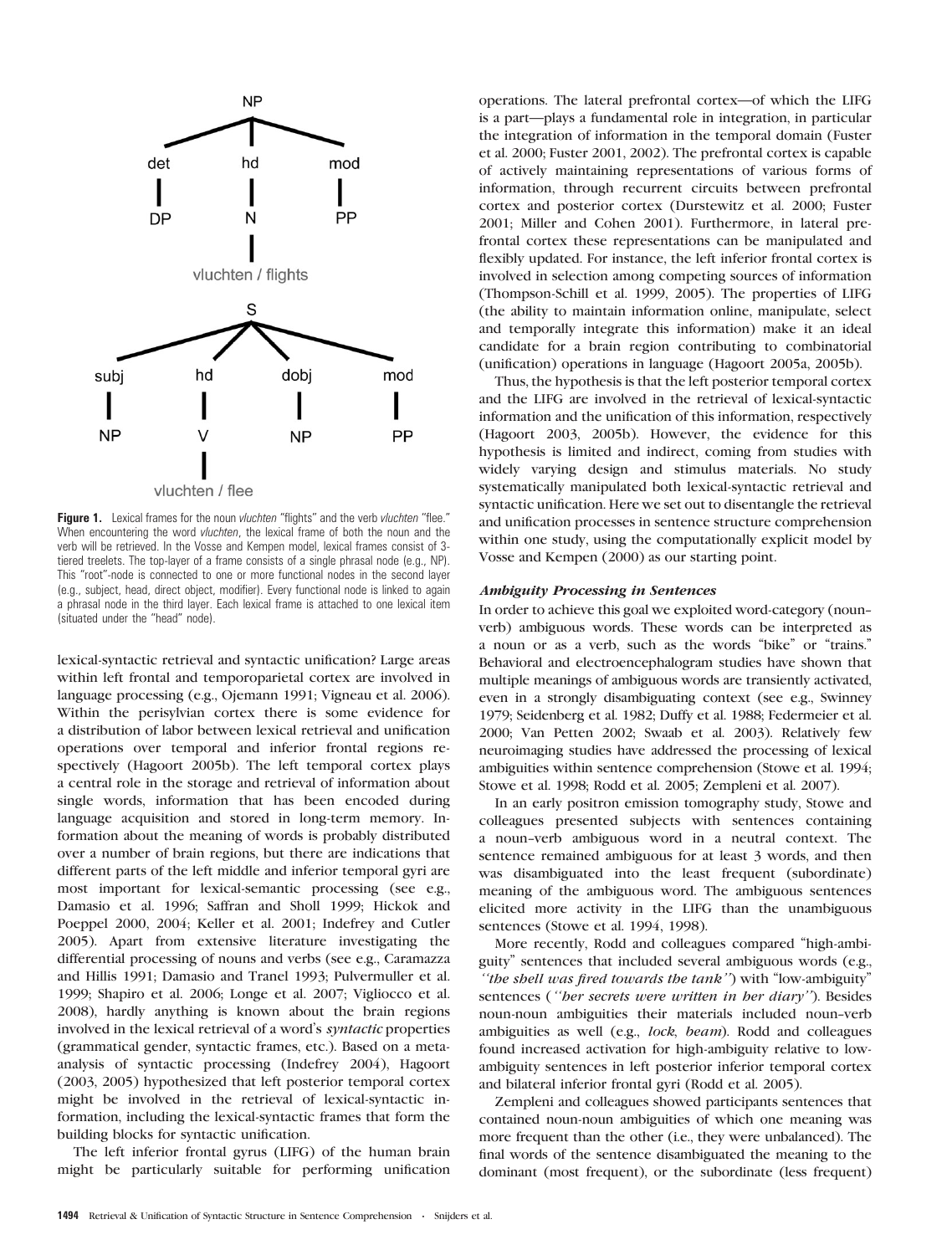

Figure 1. Lexical frames for the noun vluchten "flights" and the verb vluchten "flee." When encountering the word *vluchten*, the lexical frame of both the noun and the verb will be retrieved. In the Vosse and Kempen model, lexical frames consist of 3 tiered treelets. The top-layer of a frame consists of a single phrasal node (e.g., NP). This ''root''-node is connected to one or more functional nodes in the second layer (e.g., subject, head, direct object, modifier). Every functional node is linked to again a phrasal node in the third layer. Each lexical frame is attached to one lexical item (situated under the ''head'' node).

lexical-syntactic retrieval and syntactic unification? Large areas within left frontal and temporoparietal cortex are involved in language processing (e.g., Ojemann 1991; Vigneau et al. 2006). Within the perisylvian cortex there is some evidence for a distribution of labor between lexical retrieval and unification operations over temporal and inferior frontal regions respectively (Hagoort 2005b). The left temporal cortex plays a central role in the storage and retrieval of information about single words, information that has been encoded during language acquisition and stored in long-term memory. Information about the meaning of words is probably distributed over a number of brain regions, but there are indications that different parts of the left middle and inferior temporal gyri are most important for lexical-semantic processing (see e.g., Damasio et al. 1996; Saffran and Sholl 1999; Hickok and Poeppel 2000, 2004; Keller et al. 2001; Indefrey and Cutler 2005). Apart from extensive literature investigating the differential processing of nouns and verbs (see e.g., Caramazza and Hillis 1991; Damasio and Tranel 1993; Pulvermuller et al. 1999; Shapiro et al. 2006; Longe et al. 2007; Vigliocco et al. 2008), hardly anything is known about the brain regions involved in the lexical retrieval of a word's syntactic properties (grammatical gender, syntactic frames, etc.). Based on a metaanalysis of syntactic processing (Indefrey 2004), Hagoort (2003, 2005) hypothesized that left posterior temporal cortex might be involved in the retrieval of lexical-syntactic information, including the lexical-syntactic frames that form the building blocks for syntactic unification.

The left inferior frontal gyrus (LIFG) of the human brain might be particularly suitable for performing unification operations. The lateral prefrontal cortex—of which the LIFG is a part—plays a fundamental role in integration, in particular the integration of information in the temporal domain (Fuster et al. 2000; Fuster 2001, 2002). The prefrontal cortex is capable of actively maintaining representations of various forms of information, through recurrent circuits between prefrontal cortex and posterior cortex (Durstewitz et al. 2000; Fuster 2001; Miller and Cohen 2001). Furthermore, in lateral prefrontal cortex these representations can be manipulated and flexibly updated. For instance, the left inferior frontal cortex is involved in selection among competing sources of information (Thompson-Schill et al. 1999, 2005). The properties of LIFG (the ability to maintain information online, manipulate, select and temporally integrate this information) make it an ideal candidate for a brain region contributing to combinatorial (unification) operations in language (Hagoort 2005a, 2005b).

Thus, the hypothesis is that the left posterior temporal cortex and the LIFG are involved in the retrieval of lexical-syntactic information and the unification of this information, respectively (Hagoort 2003, 2005b). However, the evidence for this hypothesis is limited and indirect, coming from studies with widely varying design and stimulus materials. No study systematically manipulated both lexical-syntactic retrieval and syntactic unification. Here we set out to disentangle the retrieval and unification processes in sentence structure comprehension within one study, using the computationally explicit model by Vosse and Kempen (2000) as our starting point.

## Ambiguity Processing in Sentences

In order to achieve this goal we exploited word-category (noun- verb) ambiguous words. These words can be interpreted as a noun or as a verb, such as the words ''bike'' or ''trains.'' Behavioral and electroencephalogram studies have shown that multiple meanings of ambiguous words are transiently activated, even in a strongly disambiguating context (see e.g., Swinney 1979; Seidenberg et al. 1982; Duffy et al. 1988; Federmeier et al. 2000; Van Petten 2002; Swaab et al. 2003). Relatively few neuroimaging studies have addressed the processing of lexical ambiguities within sentence comprehension (Stowe et al. 1994; Stowe et al. 1998; Rodd et al. 2005; Zempleni et al. 2007).

In an early positron emission tomography study, Stowe and colleagues presented subjects with sentences containing a noun--verb ambiguous word in a neutral context. The sentence remained ambiguous for at least 3 words, and then was disambiguated into the least frequent (subordinate) meaning of the ambiguous word. The ambiguous sentences elicited more activity in the LIFG than the unambiguous sentences (Stowe et al. 1994, 1998).

More recently, Rodd and colleagues compared ''high-ambiguity'' sentences that included several ambiguous words (e.g., "the shell was fired towards the tank") with "low-ambiguity" sentences ("her secrets were written in her diary"). Besides noun-noun ambiguities their materials included noun--verb ambiguities as well (e.g., lock, beam). Rodd and colleagues found increased activation for high-ambiguity relative to lowambiguity sentences in left posterior inferior temporal cortex and bilateral inferior frontal gyri (Rodd et al. 2005).

Zempleni and colleagues showed participants sentences that contained noun-noun ambiguities of which one meaning was more frequent than the other (i.e., they were unbalanced). The final words of the sentence disambiguated the meaning to the dominant (most frequent), or the subordinate (less frequent)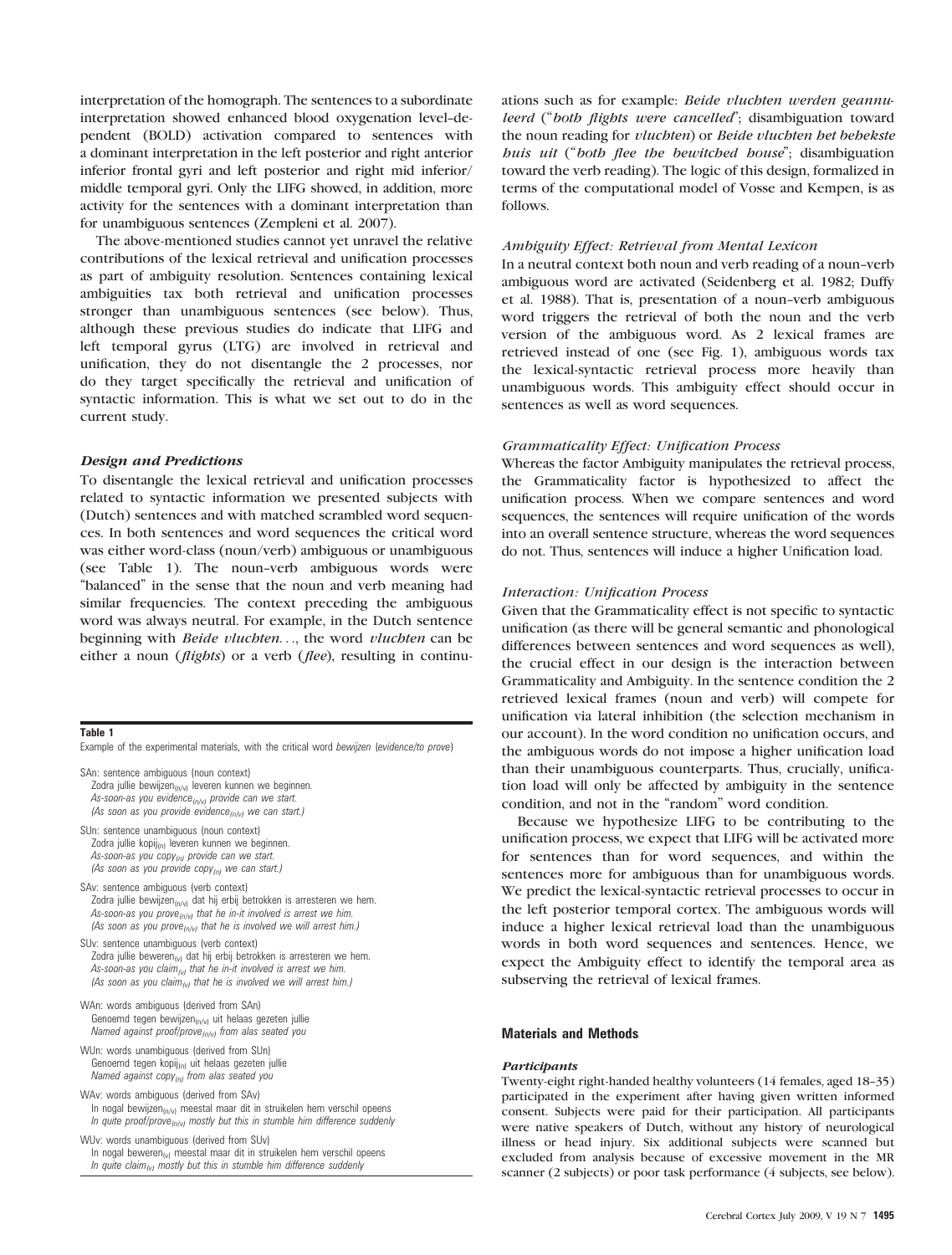interpretation of the homograph. The sentences to a subordinate interpretation showed enhanced blood oxygenation level-dependent (BOLD) activation compared to sentences with a dominant interpretation in the left posterior and right anterior inferior frontal gyri and left posterior and right mid inferior/ middle temporal gyri. Only the LIFG showed, in addition, more activity for the sentences with a dominant interpretation than for unambiguous sentences (Zempleni et al. 2007).

The above-mentioned studies cannot yet unravel the relative contributions of the lexical retrieval and unification processes as part of ambiguity resolution. Sentences containing lexical ambiguities tax both retrieval and unification processes stronger than unambiguous sentences (see below). Thus, although these previous studies do indicate that LIFG and left temporal gyrus (LTG) are involved in retrieval and unification, they do not disentangle the 2 processes, nor do they target specifically the retrieval and unification of syntactic information. This is what we set out to do in the current study.

### Design and Predictions

To disentangle the lexical retrieval and unification processes related to syntactic information we presented subjects with (Dutch) sentences and with matched scrambled word sequences. In both sentences and word sequences the critical word was either word-class (noun/verb) ambiguous or unambiguous (see Table 1). The noun-verb ambiguous words were "balanced" in the sense that the noun and verb meaning had similar frequencies. The context preceding the ambiguous word was always neutral. For example, in the Dutch sentence beginning with *Beide vluchten*..., the word *vluchten* can be either a noun (*flights*) or a verb (*flee*), resulting in continu-

## Table 1

Example of the experimental materials, with the critical word bewijzen (evidence/to prove)

SAn: sentence ambiguous (noun context) Zodra jullie bewijzen<sub>(n/v)</sub> leveren kunnen we beginnen. As-soon-as you evidence  $_{(n/v)}$  provide can we start. (As soon as you provide evidence $_{(n/v)}$  we can start.)

SUn: sentence unambiguous (noun context) Zodra jullie kopij<sub>(n)</sub> leveren kunnen we beginnen. As-soon-as you copy $_{(n)}$  provide can we start. (As soon as you provide copy $_{(n)}$  we can start.)

SAv: sentence ambiguous (verb context) Zodra jullie bewijzen $_{(n/v)}$  dat hij erbij betrokken is arresteren we hem. As-soon-as you prove $_{(n/v)}$  that he in-it involved is arrest we him. (As soon as you prove $_{(n/v)}$  that he is involved we will arrest him.)

SUv: sentence unambiguous (verb context) Zodra jullie beweren $_{(v)}$  dat hij erbij betrokken is arresteren we hem. As-soon-as you claim  $_{(v)}$  that he in-it involved is arrest we him. (As soon as you claim<sub>(v)</sub> that he is involved we will arrest him.)

- WAn: words ambiguous (derived from SAn) Genoemd tegen bewijzen(n/v) uit helaas gezeten jullie Named against proof/prove<sub>(n/v)</sub> from alas seated you
- WUn: words unambiguous (derived from SUn) Genoemd tegen kopij<sub>(n)</sub> uit helaas gezeten jullie Named against copy $_{(n)}$  from alas seated you
- WAv: words ambiguous (derived from SAv) In nogal bewijzen $_{(n/v)}$  meestal maar dit in struikelen hem verschil opeens In quite proof/prove<sub>(n/v)</sub> mostly but this in stumble him difference suddenly

WUv: words unambiguous (derived from SUv) In nogal beweren $_{(v)}$  meestal maar dit in struikelen hem verschil opeens In quite claim<sub>(v)</sub> mostly but this in stumble him difference suddenly

ations such as for example: Beide vluchten werden geannuleerd ("both flights were cancelled"; disambiguation toward the noun reading for vluchten) or Beide vluchten het behekste huis uit (''both flee the bewitched house''; disambiguation toward the verb reading). The logic of this design, formalized in terms of the computational model of Vosse and Kempen, is as follows.

## Ambiguity Effect: Retrieval from Mental Lexicon

In a neutral context both noun and verb reading of a noun--verb ambiguous word are activated (Seidenberg et al. 1982; Duffy et al. 1988). That is, presentation of a noun--verb ambiguous word triggers the retrieval of both the noun and the verb version of the ambiguous word. As 2 lexical frames are retrieved instead of one (see Fig. 1), ambiguous words tax the lexical-syntactic retrieval process more heavily than unambiguous words. This ambiguity effect should occur in sentences as well as word sequences.

## Grammaticality Effect: Unification Process

Whereas the factor Ambiguity manipulates the retrieval process, the Grammaticality factor is hypothesized to affect the unification process. When we compare sentences and word sequences, the sentences will require unification of the words into an overall sentence structure, whereas the word sequences do not. Thus, sentences will induce a higher Unification load.

### Interaction: Unification Process

Given that the Grammaticality effect is not specific to syntactic unification (as there will be general semantic and phonological differences between sentences and word sequences as well), the crucial effect in our design is the interaction between Grammaticality and Ambiguity. In the sentence condition the 2 retrieved lexical frames (noun and verb) will compete for unification via lateral inhibition (the selection mechanism in our account). In the word condition no unification occurs, and the ambiguous words do not impose a higher unification load than their unambiguous counterparts. Thus, crucially, unification load will only be affected by ambiguity in the sentence condition, and not in the "random" word condition.

Because we hypothesize LIFG to be contributing to the unification process, we expect that LIFG will be activated more for sentences than for word sequences, and within the sentences more for ambiguous than for unambiguous words. We predict the lexical-syntactic retrieval processes to occur in the left posterior temporal cortex. The ambiguous words will induce a higher lexical retrieval load than the unambiguous words in both word sequences and sentences. Hence, we expect the Ambiguity effect to identify the temporal area as subserving the retrieval of lexical frames.

## Materials and Methods

#### **Participants**

Twenty-eight right-handed healthy volunteers (14 females, aged 18-35) participated in the experiment after having given written informed consent. Subjects were paid for their participation. All participants were native speakers of Dutch, without any history of neurological illness or head injury. Six additional subjects were scanned but excluded from analysis because of excessive movement in the MR scanner (2 subjects) or poor task performance (4 subjects, see below).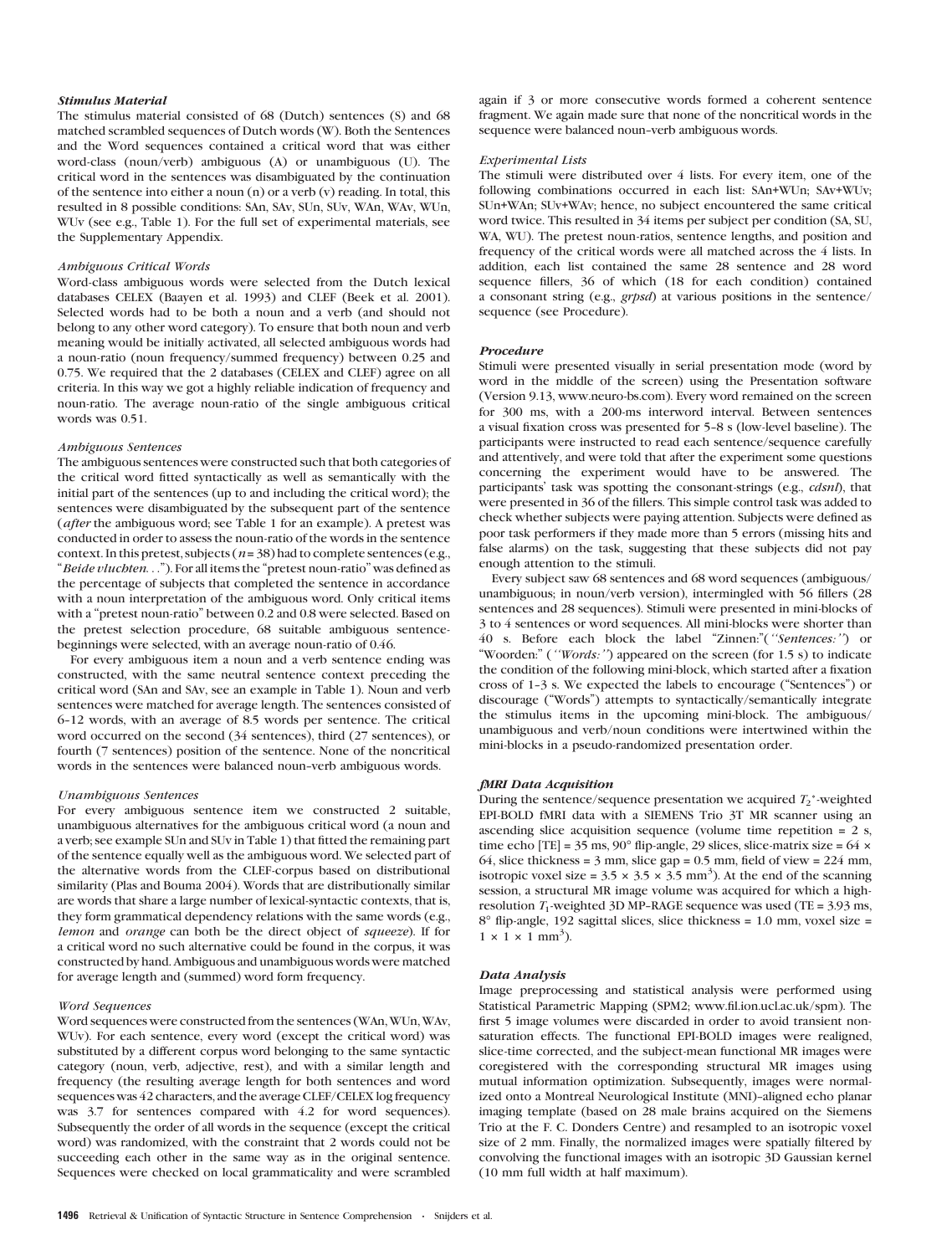#### Stimulus Material

The stimulus material consisted of 68 (Dutch) sentences (S) and 68 matched scrambled sequences of Dutch words (W). Both the Sentences and the Word sequences contained a critical word that was either word-class (noun/verb) ambiguous (A) or unambiguous (U). The critical word in the sentences was disambiguated by the continuation of the sentence into either a noun (n) or a verb (v) reading. In total, this resulted in 8 possible conditions: SAn, SAv, SUn, SUv, WAn, WAv, WUn, WUv (see e.g., Table 1). For the full set of experimental materials, see the Supplementary Appendix.

#### Ambiguous Critical Words

Word-class ambiguous words were selected from the Dutch lexical databases CELEX (Baayen et al. 1993) and CLEF (Beek et al. 2001). Selected words had to be both a noun and a verb (and should not belong to any other word category). To ensure that both noun and verb meaning would be initially activated, all selected ambiguous words had a noun-ratio (noun frequency/summed frequency) between 0.25 and 0.75. We required that the 2 databases (CELEX and CLEF) agree on all criteria. In this way we got a highly reliable indication of frequency and noun-ratio. The average noun-ratio of the single ambiguous critical words was 0.51.

#### Ambiguous Sentences

The ambiguous sentences were constructed such that both categories of the critical word fitted syntactically as well as semantically with the initial part of the sentences (up to and including the critical word); the sentences were disambiguated by the subsequent part of the sentence (after the ambiguous word; see Table 1 for an example). A pretest was conducted in order to assess the noun-ratio of the words in the sentence context. In this pretest, subjects ( $n = 38$ ) had to complete sentences (e.g., "Beide vluchten..."). For all items the "pretest noun-ratio" was defined as the percentage of subjects that completed the sentence in accordance with a noun interpretation of the ambiguous word. Only critical items with a "pretest noun-ratio" between 0.2 and 0.8 were selected. Based on the pretest selection procedure, 68 suitable ambiguous sentencebeginnings were selected, with an average noun-ratio of 0.46.

For every ambiguous item a noun and a verb sentence ending was constructed, with the same neutral sentence context preceding the critical word (SAn and SAv, see an example in Table 1). Noun and verb sentences were matched for average length. The sentences consisted of 6-12 words, with an average of 8.5 words per sentence. The critical word occurred on the second (34 sentences), third (27 sentences), or fourth (7 sentences) position of the sentence. None of the noncritical words in the sentences were balanced noun--verb ambiguous words.

#### Unambiguous Sentences

For every ambiguous sentence item we constructed 2 suitable, unambiguous alternatives for the ambiguous critical word (a noun and a verb; see example SUn and SUv in Table 1) that fitted the remaining part of the sentence equally well as the ambiguous word. We selected part of the alternative words from the CLEF-corpus based on distributional similarity (Plas and Bouma 2004). Words that are distributionally similar are words that share a large number of lexical-syntactic contexts, that is, they form grammatical dependency relations with the same words (e.g., lemon and orange can both be the direct object of squeeze). If for a critical word no such alternative could be found in the corpus, it was constructed by hand. Ambiguous and unambiguous words were matched for average length and (summed) word form frequency.

#### Word Sequences

Word sequences were constructed from the sentences (WAn, WUn, WAv, WUv). For each sentence, every word (except the critical word) was substituted by a different corpus word belonging to the same syntactic category (noun, verb, adjective, rest), and with a similar length and frequency (the resulting average length for both sentences and word sequences was 42 characters, and the average CLEF/CELEX log frequency was 3.7 for sentences compared with 4.2 for word sequences). Subsequently the order of all words in the sequence (except the critical word) was randomized, with the constraint that 2 words could not be succeeding each other in the same way as in the original sentence. Sequences were checked on local grammaticality and were scrambled again if 3 or more consecutive words formed a coherent sentence fragment. We again made sure that none of the noncritical words in the sequence were balanced noun--verb ambiguous words.

#### Experimental Lists

The stimuli were distributed over 4 lists. For every item, one of the following combinations occurred in each list: SAn+WUn; SAv+WUv; SUn+WAn; SUv+WAv; hence, no subject encountered the same critical word twice. This resulted in 34 items per subject per condition (SA, SU, WA, WU). The pretest noun-ratios, sentence lengths, and position and frequency of the critical words were all matched across the 4 lists. In addition, each list contained the same 28 sentence and 28 word sequence fillers, 36 of which (18 for each condition) contained a consonant string (e.g., grpsd) at various positions in the sentence/ sequence (see Procedure).

### Procedure

Stimuli were presented visually in serial presentation mode (word by word in the middle of the screen) using the Presentation software (Version 9.13,<www.neuro-bs.com>). Every word remained on the screen for 300 ms, with a 200-ms interword interval. Between sentences a visual fixation cross was presented for 5-8 s (low-level baseline). The participants were instructed to read each sentence/sequence carefully and attentively, and were told that after the experiment some questions concerning the experiment would have to be answered. The participants' task was spotting the consonant-strings (e.g., *cdsnl*), that were presented in 36 of the fillers. This simple control task was added to check whether subjects were paying attention. Subjects were defined as poor task performers if they made more than 5 errors (missing hits and false alarms) on the task, suggesting that these subjects did not pay enough attention to the stimuli.

Every subject saw 68 sentences and 68 word sequences (ambiguous/ unambiguous; in noun/verb version), intermingled with 56 fillers (28 sentences and 28 sequences). Stimuli were presented in mini-blocks of 3 to 4 sentences or word sequences. All mini-blocks were shorter than 40 s. Before each block the label "Zinnen:"("Sentences:") or "Woorden:" ("Words:") appeared on the screen (for 1.5 s) to indicate the condition of the following mini-block, which started after a fixation cross of 1-3 s. We expected the labels to encourage ("Sentences") or discourage (''Words'') attempts to syntactically/semantically integrate the stimulus items in the upcoming mini-block. The ambiguous/ unambiguous and verb/noun conditions were intertwined within the mini-blocks in a pseudo-randomized presentation order.

#### fMRI Data Acquisition

During the sentence/sequence presentation we acquired  $T_2^*$ -weighted EPI-BOLD fMRI data with a SIEMENS Trio 3T MR scanner using an ascending slice acquisition sequence (volume time repetition = 2 s, time echo [TE] =  $35 \text{ ms}$ ,  $90^{\circ}$  flip-angle, 29 slices, slice-matrix size =  $64 \times$ 64, slice thickness =  $3 \text{ mm}$ , slice gap =  $0.5 \text{ mm}$ , field of view =  $224 \text{ mm}$ , isotropic voxel size =  $3.5 \times 3.5 \times 3.5$  mm<sup>3</sup>). At the end of the scanning session, a structural MR image volume was acquired for which a highresolution  $T_1$ -weighted 3D MP-RAGE sequence was used (TE = 3.93 ms, 8° flip-angle, 192 sagittal slices, slice thickness = 1.0 mm, voxel size =  $1 \times 1 \times 1$  mm<sup>3</sup>).

#### Data Analysis

Image preprocessing and statistical analysis were performed using Statistical Parametric Mapping (SPM2; [www.fil.ion.ucl.ac.uk/spm\)](www.fil.ion.ucl.ac.uk/spm). The first 5 image volumes were discarded in order to avoid transient nonsaturation effects. The functional EPI-BOLD images were realigned, slice-time corrected, and the subject-mean functional MR images were coregistered with the corresponding structural MR images using mutual information optimization. Subsequently, images were normalized onto a Montreal Neurological Institute (MNI)-aligned echo planar imaging template (based on 28 male brains acquired on the Siemens Trio at the F. C. Donders Centre) and resampled to an isotropic voxel size of 2 mm. Finally, the normalized images were spatially filtered by convolving the functional images with an isotropic 3D Gaussian kernel (10 mm full width at half maximum).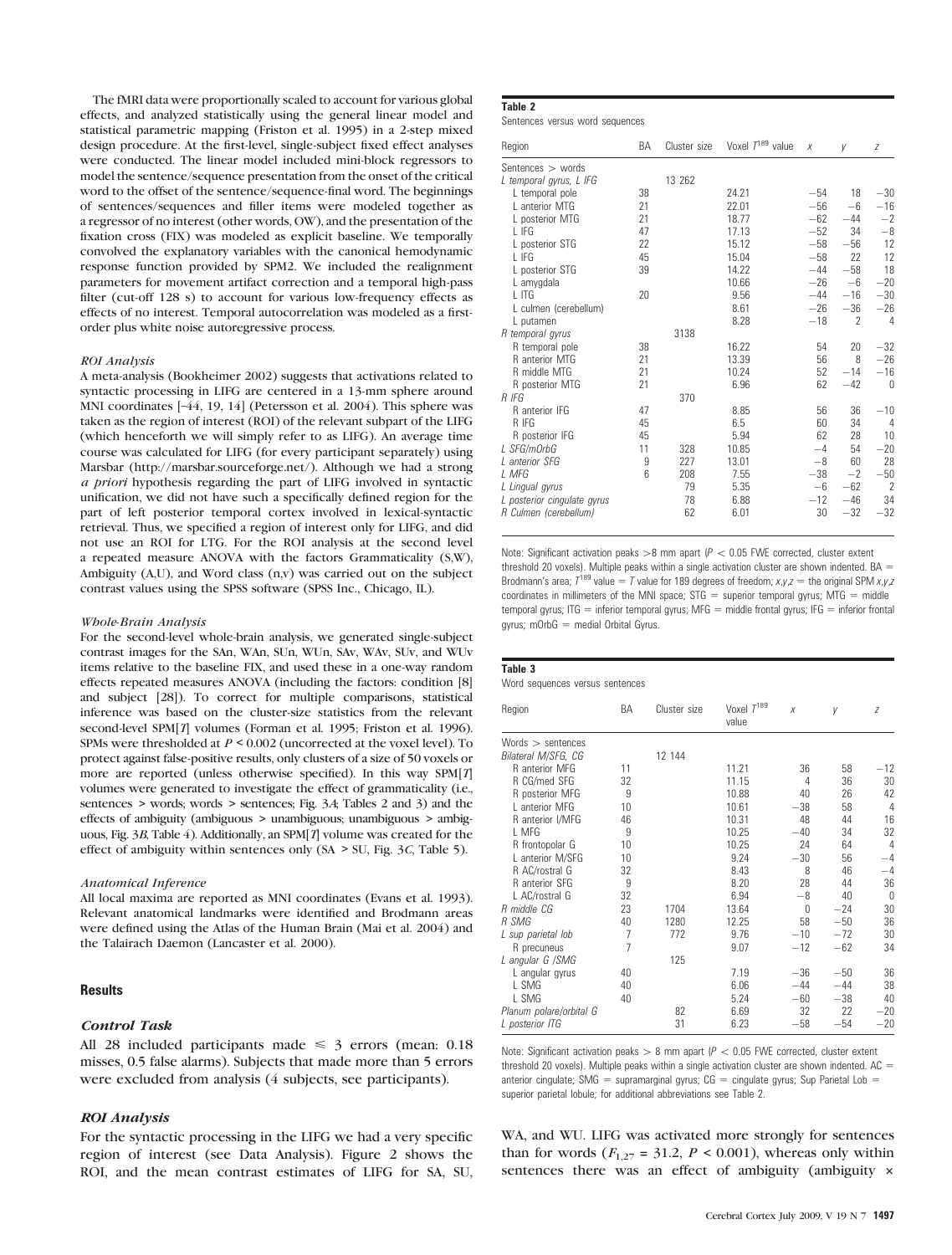The fMRI data were proportionally scaled to account for various global effects, and analyzed statistically using the general linear model and statistical parametric mapping (Friston et al. 1995) in a 2-step mixed design procedure. At the first-level, single-subject fixed effect analyses were conducted. The linear model included mini-block regressors to model the sentence/sequence presentation from the onset of the critical word to the offset of the sentence/sequence-final word. The beginnings of sentences/sequences and filler items were modeled together as a regressor of no interest (other words, OW), and the presentation of the fixation cross (FIX) was modeled as explicit baseline. We temporally convolved the explanatory variables with the canonical hemodynamic response function provided by SPM2. We included the realignment parameters for movement artifact correction and a temporal high-pass filter (cut-off 128 s) to account for various low-frequency effects as effects of no interest. Temporal autocorrelation was modeled as a firstorder plus white noise autoregressive process.

#### ROI Analysis

A meta-analysis (Bookheimer 2002) suggests that activations related to syntactic processing in LIFG are centered in a 13-mm sphere around MNI coordinates [–44, 19, 14] (Petersson et al. 2004). This sphere was taken as the region of interest (ROI) of the relevant subpart of the LIFG (which henceforth we will simply refer to as LIFG). An average time course was calculated for LIFG (for every participant separately) using Marsbar (<http://marsbar.sourceforge.net/>). Although we had a strong a priori hypothesis regarding the part of LIFG involved in syntactic unification, we did not have such a specifically defined region for the part of left posterior temporal cortex involved in lexical-syntactic retrieval. Thus, we specified a region of interest only for LIFG, and did not use an ROI for LTG. For the ROI analysis at the second level a repeated measure ANOVA with the factors Grammaticality (S,W), Ambiguity (A,U), and Word class (n,v) was carried out on the subject contrast values using the SPSS software (SPSS Inc., Chicago, IL).

#### Whole-Brain Analysis

For the second-level whole-brain analysis, we generated single-subject contrast images for the SAn, WAn, SUn, WUn, SAv, WAv, SUv, and WUv items relative to the baseline FIX, and used these in a one-way random effects repeated measures ANOVA (including the factors: condition [8] and subject [28]). To correct for multiple comparisons, statistical inference was based on the cluster-size statistics from the relevant second-level SPM[T] volumes (Forman et al. 1995; Friston et al. 1996). SPMs were thresholded at  $P \le 0.002$  (uncorrected at the voxel level). To protect against false-positive results, only clusters of a size of 50 voxels or more are reported (unless otherwise specified). In this way SPM[T] volumes were generated to investigate the effect of grammaticality (i.e., sentences > words; words > sentences; Fig. 3A; Tables 2 and 3) and the effects of ambiguity (ambiguous > unambiguous; unambiguous > ambiguous, Fig. 3B, Table 4). Additionally, an SPM[T] volume was created for the effect of ambiguity within sentences only  $(SA > SU, Fig. 3C, Table 5)$ .

#### Anatomical Inference

All local maxima are reported as MNI coordinates (Evans et al. 1993). Relevant anatomical landmarks were identified and Brodmann areas were defined using the Atlas of the Human Brain (Mai et al. 2004) and the Talairach Daemon (Lancaster et al. 2000).

## **Results**

## Control Task

All 28 included participants made  $\leq$  3 errors (mean: 0.18 misses, 0.5 false alarms). Subjects that made more than 5 errors were excluded from analysis (4 subjects, see participants).

## ROI Analysis

For the syntactic processing in the LIFG we had a very specific region of interest (see Data Analysis). Figure 2 shows the ROI, and the mean contrast estimates of LIFG for SA, SU,

# Table 2

Sentences versus word sequences

| Region                      | BA | Cluster size | Voxel $T^{189}$ value | X     | y                        | Z              |
|-----------------------------|----|--------------|-----------------------|-------|--------------------------|----------------|
| Sentences $>$ words         |    |              |                       |       |                          |                |
| L temporal gyrus, L IFG     |    | 13 262       |                       |       |                          |                |
| L temporal pole             | 38 |              | 24.21                 | $-54$ | 18                       | $-30$          |
| L anterior MTG              | 21 |              | 22.01                 | $-56$ | $-6$                     | $-16$          |
| L posterior MTG             | 21 |              | 18.77                 | $-62$ | $-44$                    | $-2$           |
| L IFG                       | 47 |              | 17.13                 | $-52$ | 34                       | $-8$           |
| L posterior STG             | 22 |              | 15.12                 | $-58$ | $-56$                    | 12             |
| L IFG                       | 45 |              | 15.04                 | $-58$ | 22                       | 12             |
| L posterior STG             | 39 |              | 14.22                 | $-44$ | $-58$                    | 18             |
| L amygdala                  |    |              | 10.66                 | $-26$ | $-6$                     | $-20$          |
| L ITG                       | 20 |              | 9.56                  | $-44$ | $-16$                    | $-30$          |
| L culmen (cerebellum)       |    |              | 8.61                  | $-26$ | $-36$                    | $-26$          |
| L putamen                   |    |              | 8.28                  | $-18$ | $\overline{\phantom{a}}$ | 4              |
| R temporal gyrus            |    | 3138         |                       |       |                          |                |
| R temporal pole             | 38 |              | 16.22                 | 54    | 20                       | $-32$          |
| R anterior MTG              | 21 |              | 13.39                 | 56    | 8                        | $-26$          |
| R middle MTG                | 21 |              | 10.24                 | 52    | $-14$                    | $-16$          |
| R posterior MTG             | 21 |              | 6.96                  | 62    | $-42$                    | $\Omega$       |
| R IFG                       |    | 370          |                       |       |                          |                |
| R anterior IFG              | 47 |              | 8.85                  | 56    | 36                       | $-10$          |
| R IFG                       | 45 |              | 6.5                   | 60    | 34                       | 4              |
| R posterior IFG             | 45 |              | 5.94                  | 62    | 28                       | 10             |
| L SFG/mOrbG                 | 11 | 328          | 10.85                 | $-4$  | 54                       | $-20$          |
| L anterior SFG              | 9  | 227          | 13.01                 | $-8$  | 60                       | 28             |
| L MFG                       | 6  | 208          | 7.55                  | $-38$ | $-2$                     | $-50$          |
| L Lingual gyrus             |    | 79           | 5.35                  | $-6$  | $-62$                    | $\overline{2}$ |
| L posterior cinqulate gyrus |    | 78           | 6.88                  | $-12$ | $-46$                    | 34             |
| R Culmen (cerebellum)       |    | 62           | 6.01                  | 30    | $-32$                    | $-32$          |
|                             |    |              |                       |       |                          |                |

Note: Significant activation peaks  $>8$  mm apart (P < 0.05 FWE corrected, cluster extent threshold 20 voxels). Multiple peaks within a single activation cluster are shown indented. BA  $=$ Brodmann's area;  $T^{189}$  value = T value for 189 degrees of freedom;  $x, y, z =$  the original SPM  $x, y, z$ coordinates in millimeters of the MNI space;  $STG =$  superior temporal gyrus; MTG = middle temporal gyrus; ITG = inferior temporal gyrus; MFG = middle frontal gyrus; IFG = inferior frontal gyrus; mOrb $G =$  medial Orbital Gyrus.

#### Table 3

Word sequences versus sentences

| Region                  | BA             | Cluster size | Voxel $T^{189}$<br>value | $\boldsymbol{x}$ | y     | Z              |
|-------------------------|----------------|--------------|--------------------------|------------------|-------|----------------|
| Words $>$ sentences     |                |              |                          |                  |       |                |
| Bilateral M/SFG, CG     |                | 12 144       |                          |                  |       |                |
| R anterior MFG          | 11             |              | 11.21                    | 36               | 58    | $-12$          |
| R CG/med SFG            | 32             |              | 11.15                    | 4                | 36    | 30             |
| R posterior MFG         | 9              |              | 10.88                    | 40               | 26    | 42             |
| L anterior MFG          | 10             |              | 10.61                    | $-38$            | 58    | 4              |
| R anterior I/MFG        | 46             |              | 10.31                    | 48               | 44    | 16             |
| L MFG                   | 9              |              | 10.25                    | $-40$            | 34    | 32             |
| R frontopolar G         | 10             |              | 10.25                    | 24               | 64    | $\overline{4}$ |
| L anterior M/SFG        | 10             |              | 9.24                     | $-30$            | 56    | $-4$           |
| R AC/rostral G          | 32             |              | 8.43                     | 8                | 46    | $-4$           |
| R anterior SFG          | 9              |              | 8.20                     | 28               | 44    | 36             |
| L AC/rostral G          | 32             |              | 6.94                     | $-8$             | 40    | 0              |
| R middle CG             | 23             | 1704         | 13.64                    | 0                | $-24$ | 30             |
| R SMG                   | 40             | 1280         | 12.25                    | 58               | $-50$ | 36             |
| L sup parietal lob      | $\overline{7}$ | 772          | 9.76                     | $-10$            | $-72$ | 30             |
| R precuneus             | $\overline{7}$ |              | 9.07                     | $-12$            | $-62$ | 34             |
| L angular G /SMG        |                | 125          |                          |                  |       |                |
| L angular gyrus         | 40             |              | 7.19                     | $-36$            | $-50$ | 36             |
| L SMG                   | 40             |              | 6.06                     | $-44$            | $-44$ | 38             |
| L SMG                   | 40             |              | 5.24                     | $-60$            | $-38$ | 40             |
| Planum polare/orbital G |                | 82           | 6.69                     | 32               | 22    | $-20$          |
| L posterior ITG         |                | 31           | 6.23                     | $-58$            | $-54$ | $-20$          |
|                         |                |              |                          |                  |       |                |

Note: Significant activation peaks  $> 8$  mm apart ( $P < 0.05$  FWE corrected, cluster extent threshold 20 voxels). Multiple peaks within a single activation cluster are shown indented.  $AC =$ anterior cingulate; SMG = supramarginal gyrus; CG = cingulate gyrus; Sup Parietal Lob = superior parietal lobule; for additional abbreviations see Table 2.

WA, and WU. LIFG was activated more strongly for sentences than for words ( $F_{1,27}$  = 31.2,  $P < 0.001$ ), whereas only within sentences there was an effect of ambiguity (ambiguity  $\times$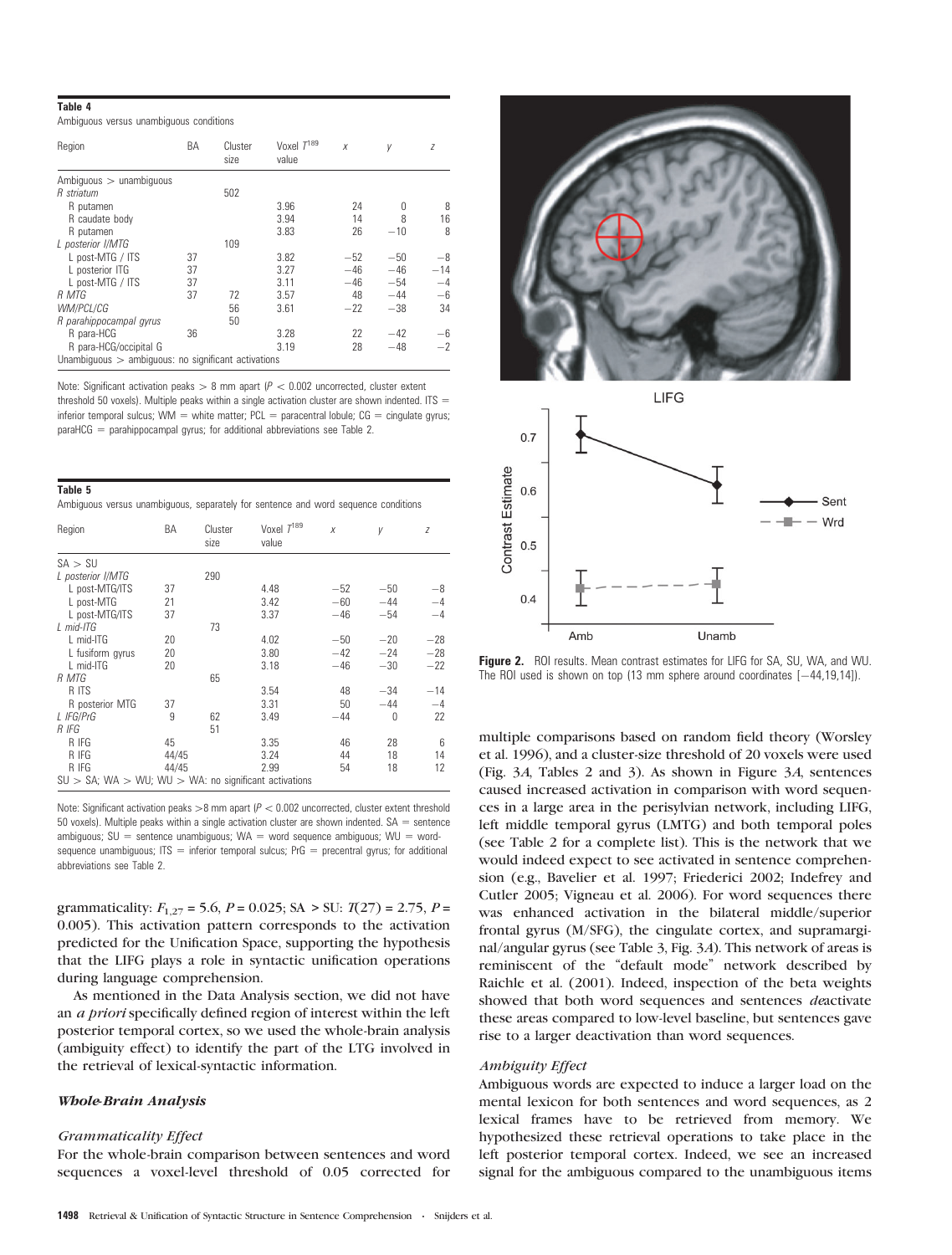#### Table 4

Ambiguous versus unambiguous conditions

| Region                                              | ΒA | Cluster<br>size | Voxel $T^{189}$<br>value | X     | У     | Z     |  |
|-----------------------------------------------------|----|-----------------|--------------------------|-------|-------|-------|--|
| Ambiguous $>$ unambiguous                           |    |                 |                          |       |       |       |  |
| R striatum                                          |    | 502             |                          |       |       |       |  |
| R putamen                                           |    |                 | 3.96                     | 24    | U     | 8     |  |
| R caudate body                                      |    |                 | 3.94                     | 14    | 8     | 16    |  |
| R putamen                                           |    |                 | 3.83                     | 26    | $-10$ | 8     |  |
| L posterior I/MTG                                   |    | 109             |                          |       |       |       |  |
| L post-MTG / ITS                                    | 37 |                 | 3.82                     | $-52$ | $-50$ | $-8$  |  |
| L posterior ITG                                     | 37 |                 | 3.27                     | $-46$ | $-46$ | $-14$ |  |
| L post-MTG / ITS                                    | 37 |                 | 3.11                     | $-46$ | $-54$ | $-4$  |  |
| R MTG                                               | 37 | 72              | 3.57                     | 48    | $-44$ | -6    |  |
| WM/PCL/CG                                           |    | 56              | 3.61                     | $-22$ | $-38$ | 34    |  |
| R parahippocampal gyrus                             |    | 50              |                          |       |       |       |  |
| R para-HCG                                          | 36 |                 | 3.28                     | 22    | $-42$ | $-6$  |  |
| R para-HCG/occipital G                              |    |                 | 3.19                     | 28    | $-48$ | $-2$  |  |
| Unambiguous > ambiguous: no significant activations |    |                 |                          |       |       |       |  |

Note: Significant activation peaks  $> 8$  mm apart ( $P < 0.002$  uncorrected, cluster extent threshold 50 voxels). Multiple peaks within a single activation cluster are shown indented. ITS  $=$ inferior temporal sulcus; WM = white matter;  $PCL =$  paracentral lobule;  $CG =$  cingulate gyrus; paraHCG = parahippocampal gyrus; for additional abbreviations see Table 2.

| Table 5                                                                            |  |  |  |
|------------------------------------------------------------------------------------|--|--|--|
| Ambiguous versus unambiguous, separately for sentence and word sequence conditions |  |  |  |

| Region                                                         | BA    | Cluster<br>size | Voxel $T^{189}$<br>value | X     | γ     | Z     |  |
|----------------------------------------------------------------|-------|-----------------|--------------------------|-------|-------|-------|--|
| SA > SU                                                        |       |                 |                          |       |       |       |  |
| L posterior I/MTG                                              |       | 290             |                          |       |       |       |  |
| L post-MTG/ITS                                                 | 37    |                 | 4.48                     | $-52$ | $-50$ | $-8$  |  |
| L post-MTG                                                     | 21    |                 | 3.42                     | $-60$ | $-44$ | $-4$  |  |
| L post-MTG/ITS                                                 | 37    |                 | 3.37                     | $-46$ | $-54$ | $-4$  |  |
| $L$ mid-ITG                                                    |       | 73              |                          |       |       |       |  |
| L mid-ITG                                                      | 20    |                 | 4.02                     | $-50$ | $-20$ | $-28$ |  |
| L fusiform gyrus                                               | 20    |                 | 3.80                     | $-42$ | $-24$ | $-28$ |  |
| L mid-ITG                                                      | 20    |                 | 3.18                     | $-46$ | $-30$ | $-22$ |  |
| R MTG                                                          |       | 65              |                          |       |       |       |  |
| R ITS                                                          |       |                 | 3.54                     | 48    | $-34$ | $-14$ |  |
| R posterior MTG                                                | 37    |                 | 3.31                     | 50    | $-44$ | $-4$  |  |
| L IFG/PrG                                                      | 9     | 62              | 3.49                     | $-44$ | 0     | 22    |  |
| R IFG                                                          |       | 51              |                          |       |       |       |  |
| R IFG                                                          | 45    |                 | 3.35                     | 46    | 28    | 6     |  |
| R IFG                                                          | 44/45 |                 | 3.24                     | 44    | 18    | 14    |  |
| R IFG                                                          | 44/45 |                 | 2.99                     | 54    | 18    | 12    |  |
| $SU > SA$ ; WA $> WU$ ; WU $> WA$ : no significant activations |       |                 |                          |       |       |       |  |

Note: Significant activation peaks  $>8$  mm apart ( $P<0.002$  uncorrected, cluster extent threshold 50 voxels). Multiple peaks within a single activation cluster are shown indented.  $SA =$  sentence ambiguous;  $SU =$  sentence unambiguous; WA = word sequence ambiguous; WU = wordsequence unambiguous; ITS = inferior temporal sulcus; PrG = precentral gyrus; for additional abbreviations see Table 2.

grammaticality:  $F_{1,27} = 5.6$ ,  $P = 0.025$ ; SA > SU:  $T(27) = 2.75$ ,  $P =$ 0.005). This activation pattern corresponds to the activation predicted for the Unification Space, supporting the hypothesis that the LIFG plays a role in syntactic unification operations during language comprehension.

As mentioned in the Data Analysis section, we did not have an a priori specifically defined region of interest within the left posterior temporal cortex, so we used the whole-brain analysis (ambiguity effect) to identify the part of the LTG involved in the retrieval of lexical-syntactic information.

# Whole-Brain Analysis

### Grammaticality Effect

For the whole-brain comparison between sentences and word sequences a voxel-level threshold of 0.05 corrected for





Figure 2. ROI results. Mean contrast estimates for LIFG for SA, SU, WA, and WU. The ROI used is shown on top (13 mm sphere around coordinates  $[-44,19,14]$ ).

multiple comparisons based on random field theory (Worsley et al. 1996), and a cluster-size threshold of 20 voxels were used (Fig. 3A, Tables 2 and 3). As shown in Figure 3A, sentences caused increased activation in comparison with word sequences in a large area in the perisylvian network, including LIFG, left middle temporal gyrus (LMTG) and both temporal poles (see Table 2 for a complete list). This is the network that we would indeed expect to see activated in sentence comprehension (e.g., Bavelier et al. 1997; Friederici 2002; Indefrey and Cutler 2005; Vigneau et al. 2006). For word sequences there was enhanced activation in the bilateral middle/superior frontal gyrus (M/SFG), the cingulate cortex, and supramarginal/angular gyrus (see Table 3, Fig. 3A). This network of areas is reminiscent of the ''default mode'' network described by Raichle et al. (2001). Indeed, inspection of the beta weights showed that both word sequences and sentences deactivate these areas compared to low-level baseline, but sentences gave rise to a larger deactivation than word sequences.

#### Ambiguity Effect

Ambiguous words are expected to induce a larger load on the mental lexicon for both sentences and word sequences, as 2 lexical frames have to be retrieved from memory. We hypothesized these retrieval operations to take place in the left posterior temporal cortex. Indeed, we see an increased signal for the ambiguous compared to the unambiguous items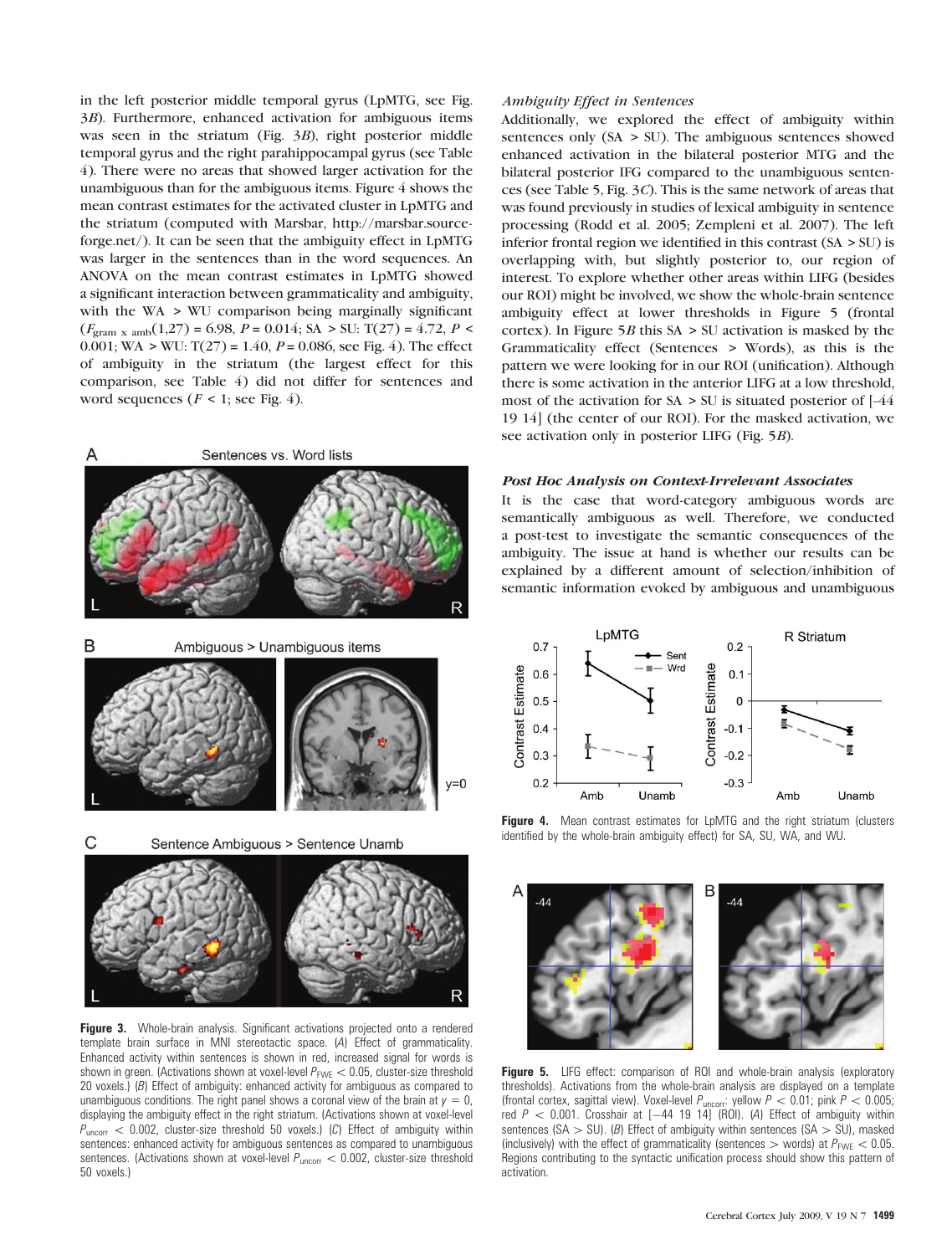in the left posterior middle temporal gyrus (LpMTG, see Fig. 3B). Furthermore, enhanced activation for ambiguous items was seen in the striatum (Fig. 3B), right posterior middle temporal gyrus and the right parahippocampal gyrus (see Table 4). There were no areas that showed larger activation for the unambiguous than for the ambiguous items. Figure 4 shows the mean contrast estimates for the activated cluster in LpMTG and the striatum (computed with Marsbar, [http://marsbar.source](http://marsbar.sourceforge.net/)[forge.net/\)](http://marsbar.sourceforge.net/). It can be seen that the ambiguity effect in LpMTG was larger in the sentences than in the word sequences. An ANOVA on the mean contrast estimates in LpMTG showed a significant interaction between grammaticality and ambiguity, with the WA > WU comparison being marginally significant  $(F_{\text{gram x amb}}(1,27) = 6.98, P = 0.014; SA > SU: T(27) = 4.72, P <$ 0.001; WA > WU:  $T(27) = 1.40$ ,  $P = 0.086$ , see Fig. 4). The effect of ambiguity in the striatum (the largest effect for this comparison, see Table 4) did not differ for sentences and word sequences ( $F < 1$ ; see Fig. 4).









Figure 3. Whole-brain analysis. Significant activations projected onto a rendered template brain surface in MNI stereotactic space. (A) Effect of grammaticality. Enhanced activity within sentences is shown in red, increased signal for words is shown in green. (Activations shown at voxel-level  $P_{\text{FWE}}<0.05$ , cluster-size threshold 20 voxels.) (B) Effect of ambiguity: enhanced activity for ambiguous as compared to unambiguous conditions. The right panel shows a coronal view of the brain at  $y = 0$ , displaying the ambiguity effect in the right striatum. (Activations shown at voxel-level  $P_{\text{uncorr}} < 0.002$ , cluster-size threshold 50 voxels.) (C) Effect of ambiguity within sentences: enhanced activity for ambiguous sentences as compared to unambiguous sentences. (Activations shown at voxel-level  $P_{\text{uncorr}} < 0.002$ , cluster-size threshold 50 voxels.)

# Ambiguity Effect in Sentences

Additionally, we explored the effect of ambiguity within sentences only (SA > SU). The ambiguous sentences showed enhanced activation in the bilateral posterior MTG and the bilateral posterior IFG compared to the unambiguous sentences (see Table 5, Fig. 3C). This is the same network of areas that was found previously in studies of lexical ambiguity in sentence processing (Rodd et al. 2005; Zempleni et al. 2007). The left inferior frontal region we identified in this contrast  $(SA > SU)$  is overlapping with, but slightly posterior to, our region of interest. To explore whether other areas within LIFG (besides our ROI) might be involved, we show the whole-brain sentence ambiguity effect at lower thresholds in Figure 5 (frontal cortex). In Figure  $5B$  this SA > SU activation is masked by the Grammaticality effect (Sentences > Words), as this is the pattern we were looking for in our ROI (unification). Although there is some activation in the anterior LIFG at a low threshold, most of the activation for  $SA > SU$  is situated posterior of  $[-44]$ 19 14] (the center of our ROI). For the masked activation, we see activation only in posterior LIFG (Fig. 5B).

## Post Hoc Analysis on Context-Irrelevant Associates

It is the case that word-category ambiguous words are semantically ambiguous as well. Therefore, we conducted a post-test to investigate the semantic consequences of the ambiguity. The issue at hand is whether our results can be explained by a different amount of selection/inhibition of semantic information evoked by ambiguous and unambiguous



Figure 4. Mean contrast estimates for LpMTG and the right striatum (clusters identified by the whole-brain ambiguity effect) for SA, SU, WA, and WU.



Figure 5. LIFG effect: comparison of ROI and whole-brain analysis (exploratory thresholds). Activations from the whole-brain analysis are displayed on a template (frontal cortex, sagittal view). Voxel-level  $P_{\text{uncorr}}$ : yellow  $P < 0.01$ ; pink  $P < 0.005$ ; red  $P \, < \, 0.001$ . Crosshair at  $[-44 \, 19 \, 14]$  (ROI). (A) Effect of ambiguity within sentences (SA  $>$  SU). (B) Effect of ambiguity within sentences (SA  $>$  SU), masked (inclusively) with the effect of grammaticality (sentences  $>$  words) at  $P_{\text{FWE}} < 0.05$ . Regions contributing to the syntactic unification process should show this pattern of activation.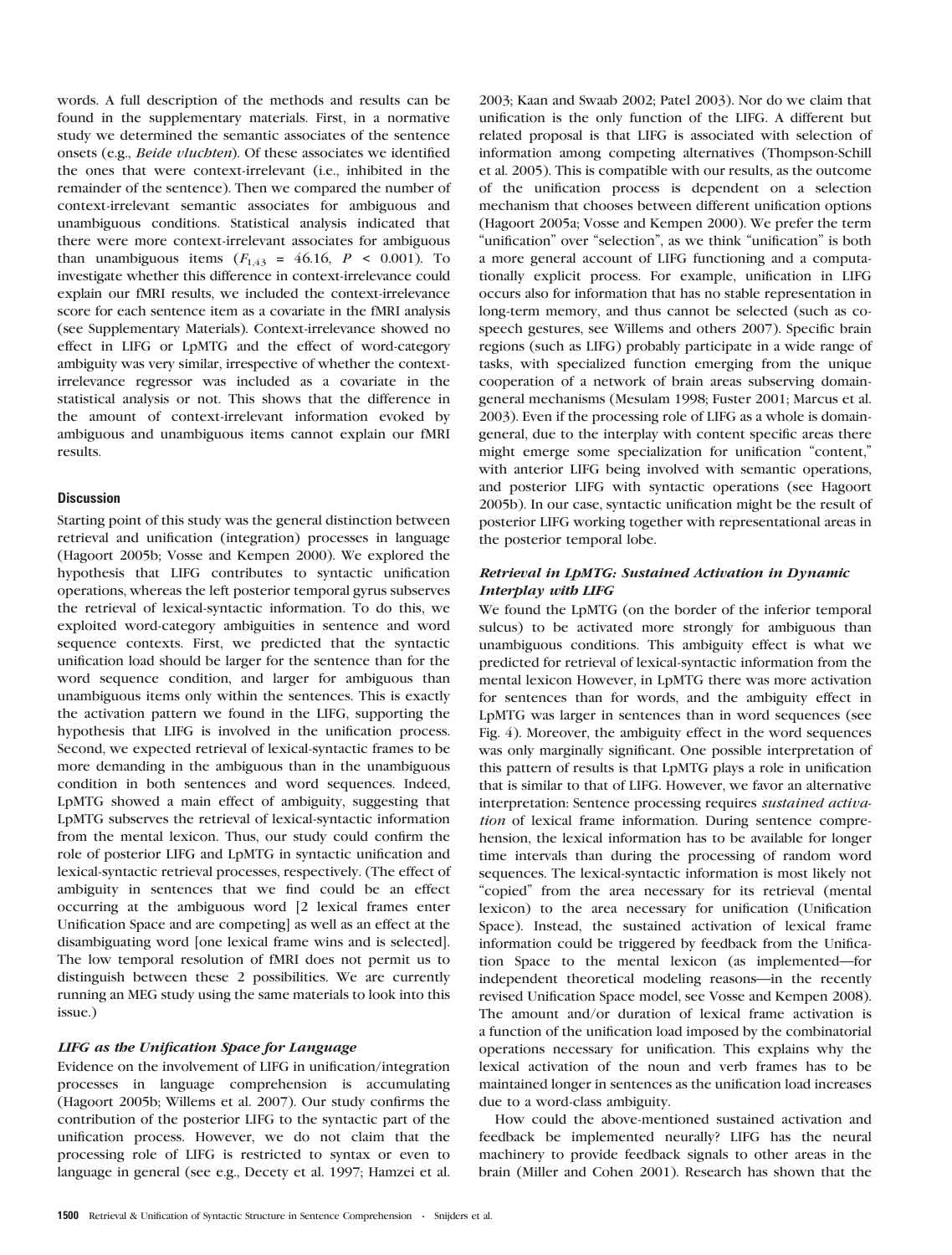words. A full description of the methods and results can be found in the supplementary materials. First, in a normative study we determined the semantic associates of the sentence onsets (e.g., Beide vluchten). Of these associates we identified the ones that were context-irrelevant (i.e., inhibited in the remainder of the sentence). Then we compared the number of context-irrelevant semantic associates for ambiguous and unambiguous conditions. Statistical analysis indicated that there were more context-irrelevant associates for ambiguous than unambiguous items  $(F_{1,43} = 46.16, P \le 0.001)$ . To investigate whether this difference in context-irrelevance could explain our fMRI results, we included the context-irrelevance score for each sentence item as a covariate in the fMRI analysis (see Supplementary Materials). Context-irrelevance showed no effect in LIFG or LpMTG and the effect of word-category ambiguity was very similar, irrespective of whether the contextirrelevance regressor was included as a covariate in the statistical analysis or not. This shows that the difference in the amount of context-irrelevant information evoked by ambiguous and unambiguous items cannot explain our fMRI results.

# **Discussion**

Starting point of this study was the general distinction between retrieval and unification (integration) processes in language (Hagoort 2005b; Vosse and Kempen 2000). We explored the hypothesis that LIFG contributes to syntactic unification operations, whereas the left posterior temporal gyrus subserves the retrieval of lexical-syntactic information. To do this, we exploited word-category ambiguities in sentence and word sequence contexts. First, we predicted that the syntactic unification load should be larger for the sentence than for the word sequence condition, and larger for ambiguous than unambiguous items only within the sentences. This is exactly the activation pattern we found in the LIFG, supporting the hypothesis that LIFG is involved in the unification process. Second, we expected retrieval of lexical-syntactic frames to be more demanding in the ambiguous than in the unambiguous condition in both sentences and word sequences. Indeed, LpMTG showed a main effect of ambiguity, suggesting that LpMTG subserves the retrieval of lexical-syntactic information from the mental lexicon. Thus, our study could confirm the role of posterior LIFG and LpMTG in syntactic unification and lexical-syntactic retrieval processes, respectively. (The effect of ambiguity in sentences that we find could be an effect occurring at the ambiguous word [2 lexical frames enter Unification Space and are competing] as well as an effect at the disambiguating word [one lexical frame wins and is selected]. The low temporal resolution of fMRI does not permit us to distinguish between these 2 possibilities. We are currently running an MEG study using the same materials to look into this issue.)

# LIFG as the Unification Space for Language

Evidence on the involvement of LIFG in unification/integration processes in language comprehension is accumulating (Hagoort 2005b; Willems et al. 2007). Our study confirms the contribution of the posterior LIFG to the syntactic part of the unification process. However, we do not claim that the processing role of LIFG is restricted to syntax or even to language in general (see e.g., Decety et al. 1997; Hamzei et al. 2003; Kaan and Swaab 2002; Patel 2003). Nor do we claim that unification is the only function of the LIFG. A different but related proposal is that LIFG is associated with selection of information among competing alternatives (Thompson-Schill et al. 2005). This is compatible with our results, as the outcome of the unification process is dependent on a selection mechanism that chooses between different unification options (Hagoort 2005a; Vosse and Kempen 2000). We prefer the term ''unification'' over ''selection'', as we think ''unification'' is both a more general account of LIFG functioning and a computationally explicit process. For example, unification in LIFG occurs also for information that has no stable representation in long-term memory, and thus cannot be selected (such as cospeech gestures, see Willems and others 2007). Specific brain regions (such as LIFG) probably participate in a wide range of tasks, with specialized function emerging from the unique cooperation of a network of brain areas subserving domaingeneral mechanisms (Mesulam 1998; Fuster 2001; Marcus et al. 2003). Even if the processing role of LIFG as a whole is domaingeneral, due to the interplay with content specific areas there might emerge some specialization for unification ''content,'' with anterior LIFG being involved with semantic operations, and posterior LIFG with syntactic operations (see Hagoort 2005b). In our case, syntactic unification might be the result of posterior LIFG working together with representational areas in the posterior temporal lobe.

# Retrieval in LpMTG: Sustained Activation in Dynamic Interplay with LIFG

We found the LpMTG (on the border of the inferior temporal sulcus) to be activated more strongly for ambiguous than unambiguous conditions. This ambiguity effect is what we predicted for retrieval of lexical-syntactic information from the mental lexicon However, in LpMTG there was more activation for sentences than for words, and the ambiguity effect in LpMTG was larger in sentences than in word sequences (see Fig. 4). Moreover, the ambiguity effect in the word sequences was only marginally significant. One possible interpretation of this pattern of results is that LpMTG plays a role in unification that is similar to that of LIFG. However, we favor an alternative interpretation: Sentence processing requires sustained activation of lexical frame information. During sentence comprehension, the lexical information has to be available for longer time intervals than during the processing of random word sequences. The lexical-syntactic information is most likely not "copied" from the area necessary for its retrieval (mental lexicon) to the area necessary for unification (Unification Space). Instead, the sustained activation of lexical frame information could be triggered by feedback from the Unification Space to the mental lexicon (as implemented—for independent theoretical modeling reasons—in the recently revised Unification Space model, see Vosse and Kempen 2008). The amount and/or duration of lexical frame activation is a function of the unification load imposed by the combinatorial operations necessary for unification. This explains why the lexical activation of the noun and verb frames has to be maintained longer in sentences as the unification load increases due to a word-class ambiguity.

How could the above-mentioned sustained activation and feedback be implemented neurally? LIFG has the neural machinery to provide feedback signals to other areas in the brain (Miller and Cohen 2001). Research has shown that the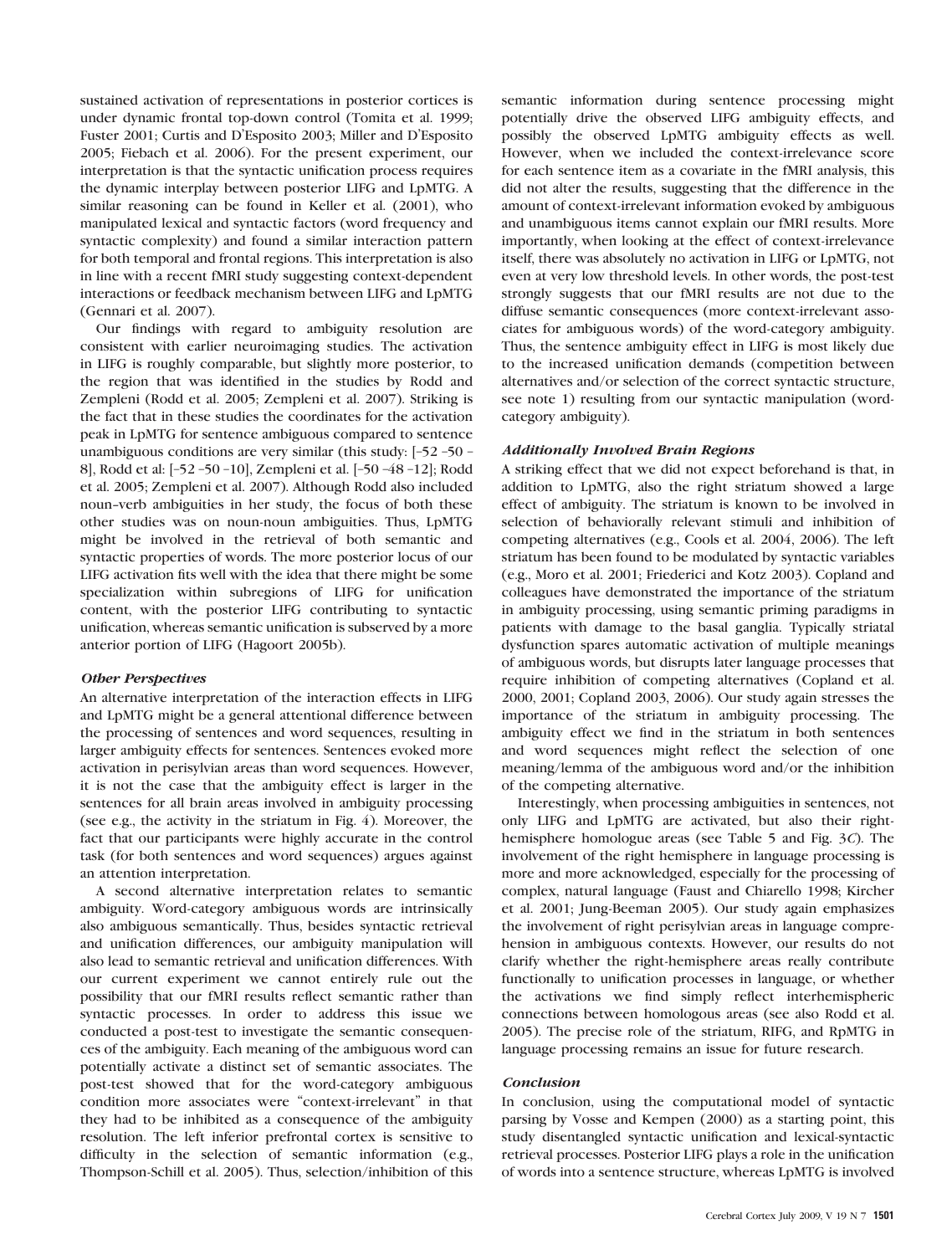sustained activation of representations in posterior cortices is under dynamic frontal top-down control (Tomita et al. 1999; Fuster 2001; Curtis and D'Esposito 2003; Miller and D'Esposito 2005; Fiebach et al. 2006). For the present experiment, our interpretation is that the syntactic unification process requires the dynamic interplay between posterior LIFG and LpMTG. A similar reasoning can be found in Keller et al. (2001), who manipulated lexical and syntactic factors (word frequency and syntactic complexity) and found a similar interaction pattern for both temporal and frontal regions. This interpretation is also in line with a recent fMRI study suggesting context-dependent interactions or feedback mechanism between LIFG and LpMTG (Gennari et al. 2007).

Our findings with regard to ambiguity resolution are consistent with earlier neuroimaging studies. The activation in LIFG is roughly comparable, but slightly more posterior, to the region that was identified in the studies by Rodd and Zempleni (Rodd et al. 2005; Zempleni et al. 2007). Striking is the fact that in these studies the coordinates for the activation peak in LpMTG for sentence ambiguous compared to sentence unambiguous conditions are very similar (this study: [–52 –50 – 8], Rodd et al: [–52 –50 –10], Zempleni et al. [–50 –48 –12]; Rodd et al. 2005; Zempleni et al. 2007). Although Rodd also included noun--verb ambiguities in her study, the focus of both these other studies was on noun-noun ambiguities. Thus, LpMTG might be involved in the retrieval of both semantic and syntactic properties of words. The more posterior locus of our LIFG activation fits well with the idea that there might be some specialization within subregions of LIFG for unification content, with the posterior LIFG contributing to syntactic unification, whereas semantic unification is subserved by a more anterior portion of LIFG (Hagoort 2005b).

## Other Perspectives

An alternative interpretation of the interaction effects in LIFG and LpMTG might be a general attentional difference between the processing of sentences and word sequences, resulting in larger ambiguity effects for sentences. Sentences evoked more activation in perisylvian areas than word sequences. However, it is not the case that the ambiguity effect is larger in the sentences for all brain areas involved in ambiguity processing (see e.g., the activity in the striatum in Fig. 4). Moreover, the fact that our participants were highly accurate in the control task (for both sentences and word sequences) argues against an attention interpretation.

A second alternative interpretation relates to semantic ambiguity. Word-category ambiguous words are intrinsically also ambiguous semantically. Thus, besides syntactic retrieval and unification differences, our ambiguity manipulation will also lead to semantic retrieval and unification differences. With our current experiment we cannot entirely rule out the possibility that our fMRI results reflect semantic rather than syntactic processes. In order to address this issue we conducted a post-test to investigate the semantic consequences of the ambiguity. Each meaning of the ambiguous word can potentially activate a distinct set of semantic associates. The post-test showed that for the word-category ambiguous condition more associates were ''context-irrelevant'' in that they had to be inhibited as a consequence of the ambiguity resolution. The left inferior prefrontal cortex is sensitive to difficulty in the selection of semantic information (e.g., Thompson-Schill et al. 2005). Thus, selection/inhibition of this

semantic information during sentence processing might potentially drive the observed LIFG ambiguity effects, and possibly the observed LpMTG ambiguity effects as well. However, when we included the context-irrelevance score for each sentence item as a covariate in the fMRI analysis, this did not alter the results, suggesting that the difference in the amount of context-irrelevant information evoked by ambiguous and unambiguous items cannot explain our fMRI results. More importantly, when looking at the effect of context-irrelevance itself, there was absolutely no activation in LIFG or LpMTG, not even at very low threshold levels. In other words, the post-test strongly suggests that our fMRI results are not due to the diffuse semantic consequences (more context-irrelevant associates for ambiguous words) of the word-category ambiguity. Thus, the sentence ambiguity effect in LIFG is most likely due to the increased unification demands (competition between alternatives and/or selection of the correct syntactic structure, see note 1) resulting from our syntactic manipulation (wordcategory ambiguity).

## Additionally Involved Brain Regions

A striking effect that we did not expect beforehand is that, in addition to LpMTG, also the right striatum showed a large effect of ambiguity. The striatum is known to be involved in selection of behaviorally relevant stimuli and inhibition of competing alternatives (e.g., Cools et al. 2004, 2006). The left striatum has been found to be modulated by syntactic variables (e.g., Moro et al. 2001; Friederici and Kotz 2003). Copland and colleagues have demonstrated the importance of the striatum in ambiguity processing, using semantic priming paradigms in patients with damage to the basal ganglia. Typically striatal dysfunction spares automatic activation of multiple meanings of ambiguous words, but disrupts later language processes that require inhibition of competing alternatives (Copland et al. 2000, 2001; Copland 2003, 2006). Our study again stresses the importance of the striatum in ambiguity processing. The ambiguity effect we find in the striatum in both sentences and word sequences might reflect the selection of one meaning/lemma of the ambiguous word and/or the inhibition of the competing alternative.

Interestingly, when processing ambiguities in sentences, not only LIFG and LpMTG are activated, but also their righthemisphere homologue areas (see Table 5 and Fig. 3C). The involvement of the right hemisphere in language processing is more and more acknowledged, especially for the processing of complex, natural language (Faust and Chiarello 1998; Kircher et al. 2001; Jung-Beeman 2005). Our study again emphasizes the involvement of right perisylvian areas in language comprehension in ambiguous contexts. However, our results do not clarify whether the right-hemisphere areas really contribute functionally to unification processes in language, or whether the activations we find simply reflect interhemispheric connections between homologous areas (see also Rodd et al. 2005). The precise role of the striatum, RIFG, and RpMTG in language processing remains an issue for future research.

# **Conclusion**

In conclusion, using the computational model of syntactic parsing by Vosse and Kempen (2000) as a starting point, this study disentangled syntactic unification and lexical-syntactic retrieval processes. Posterior LIFG plays a role in the unification of words into a sentence structure, whereas LpMTG is involved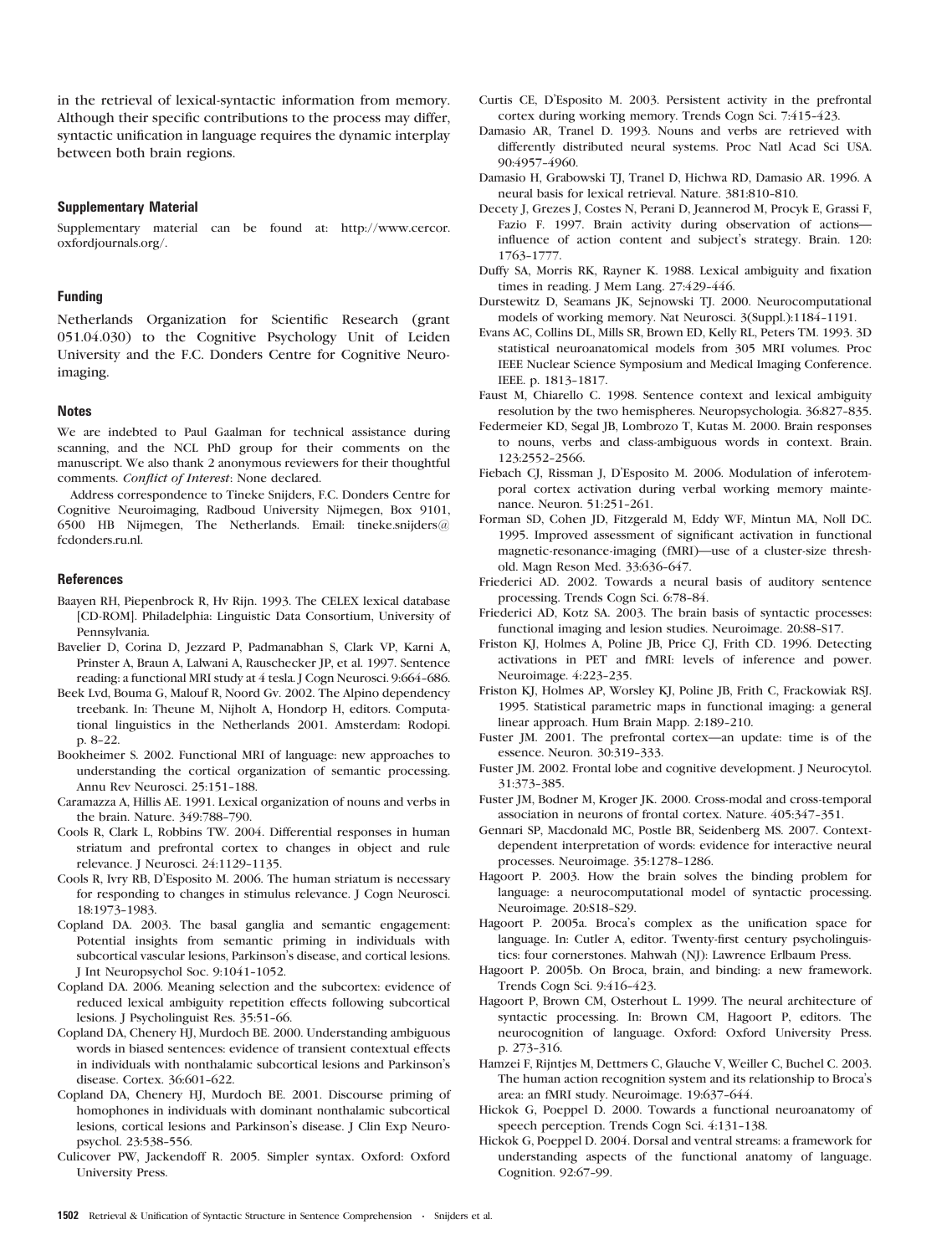in the retrieval of lexical-syntactic information from memory. Although their specific contributions to the process may differ, syntactic unification in language requires the dynamic interplay between both brain regions.

## Supplementary Material

Supplementary material can be found at: [http://www.cercor.](http://www.cercor.oxfordjournals.org/) [oxfordjournals.org/.](http://www.cercor.oxfordjournals.org/)

### Funding

Netherlands Organization for Scientific Research (grant 051.04.030) to the Cognitive Psychology Unit of Leiden University and the F.C. Donders Centre for Cognitive Neuroimaging.

#### **Notes**

We are indebted to Paul Gaalman for technical assistance during scanning, and the NCL PhD group for their comments on the manuscript. We also thank 2 anonymous reviewers for their thoughtful comments. Conflict of Interest: None declared.

Address correspondence to Tineke Snijders, F.C. Donders Centre for Cognitive Neuroimaging, Radboud University Nijmegen, Box 9101, 6500 HB Nijmegen, The Netherlands. Email: tineke.snijders@ fcdonders.ru.nl.

## **References**

- Baayen RH, Piepenbrock R, Hv Rijn. 1993. The CELEX lexical database [CD-ROM]. Philadelphia: Linguistic Data Consortium, University of Pennsylvania.
- Bavelier D, Corina D, Jezzard P, Padmanabhan S, Clark VP, Karni A, Prinster A, Braun A, Lalwani A, Rauschecker JP, et al. 1997. Sentence reading: a functional MRI study at 4 tesla. J Cogn Neurosci. 9:664-686.
- Beek Lvd, Bouma G, Malouf R, Noord Gv. 2002. The Alpino dependency treebank. In: Theune M, Nijholt A, Hondorp H, editors. Computational linguistics in the Netherlands 2001. Amsterdam: Rodopi. p. 8-22.
- Bookheimer S. 2002. Functional MRI of language: new approaches to understanding the cortical organization of semantic processing. Annu Rev Neurosci. 25:151-188.
- Caramazza A, Hillis AE. 1991. Lexical organization of nouns and verbs in the brain. Nature. 349.788-790.
- Cools R, Clark L, Robbins TW. 2004. Differential responses in human striatum and prefrontal cortex to changes in object and rule relevance. J Neurosci. 24:1129-1135.
- Cools R, Ivry RB, D'Esposito M. 2006. The human striatum is necessary for responding to changes in stimulus relevance. J Cogn Neurosci. 18:1973--1983.
- Copland DA. 2003. The basal ganglia and semantic engagement: Potential insights from semantic priming in individuals with subcortical vascular lesions, Parkinson's disease, and cortical lesions. J Int Neuropsychol Soc. 9:1041-1052.
- Copland DA. 2006. Meaning selection and the subcortex: evidence of reduced lexical ambiguity repetition effects following subcortical lesions. J Psycholinguist Res. 35:51-66.
- Copland DA, Chenery HJ, Murdoch BE. 2000. Understanding ambiguous words in biased sentences: evidence of transient contextual effects in individuals with nonthalamic subcortical lesions and Parkinson's disease. Cortex. 36:601-622.
- Copland DA, Chenery HJ, Murdoch BE. 2001. Discourse priming of homophones in individuals with dominant nonthalamic subcortical lesions, cortical lesions and Parkinson's disease. J Clin Exp Neuropsychol. 23:538--556.
- Culicover PW, Jackendoff R. 2005. Simpler syntax. Oxford: Oxford University Press.
- Curtis CE, D'Esposito M. 2003. Persistent activity in the prefrontal cortex during working memory. Trends Cogn Sci. 7:415-423.
- Damasio AR, Tranel D. 1993. Nouns and verbs are retrieved with differently distributed neural systems. Proc Natl Acad Sci USA. 90:4957-4960.
- Damasio H, Grabowski TJ, Tranel D, Hichwa RD, Damasio AR. 1996. A neural basis for lexical retrieval. Nature. 381:810-810.
- Decety J, Grezes J, Costes N, Perani D, Jeannerod M, Procyk E, Grassi F, Fazio F. 1997. Brain activity during observation of actionsinfluence of action content and subject's strategy. Brain. 120: 1763--1777.
- Duffy SA, Morris RK, Rayner K. 1988. Lexical ambiguity and fixation times in reading. J Mem Lang. 27:429-446.
- Durstewitz D, Seamans JK, Sejnowski TJ. 2000. Neurocomputational models of working memory. Nat Neurosci. 3(Suppl.):1184-1191.
- Evans AC, Collins DL, Mills SR, Brown ED, Kelly RL, Peters TM. 1993. 3D statistical neuroanatomical models from 305 MRI volumes. Proc IEEE Nuclear Science Symposium and Medical Imaging Conference. IEEE. p. 1813--1817.
- Faust M, Chiarello C. 1998. Sentence context and lexical ambiguity resolution by the two hemispheres. Neuropsychologia. 36:827-835.
- Federmeier KD, Segal JB, Lombrozo T, Kutas M. 2000. Brain responses to nouns, verbs and class-ambiguous words in context. Brain. 123:2552-2566.
- Fiebach CJ, Rissman J, D'Esposito M. 2006. Modulation of inferotemporal cortex activation during verbal working memory maintenance. Neuron. 51:251-261.
- Forman SD, Cohen JD, Fitzgerald M, Eddy WF, Mintun MA, Noll DC. 1995. Improved assessment of significant activation in functional magnetic-resonance-imaging (fMRI)—use of a cluster-size threshold. Magn Reson Med. 33:636-647.
- Friederici AD. 2002. Towards a neural basis of auditory sentence processing. Trends Cogn Sci. 6:78-84.
- Friederici AD, Kotz SA. 2003. The brain basis of syntactic processes: functional imaging and lesion studies. Neuroimage. 20:S8-S17.
- Friston KJ, Holmes A, Poline JB, Price CJ, Frith CD. 1996. Detecting activations in PET and fMRI: levels of inference and power. Neuroimage. 4:223-235.
- Friston KJ, Holmes AP, Worsley KJ, Poline JB, Frith C, Frackowiak RSJ. 1995. Statistical parametric maps in functional imaging: a general linear approach. Hum Brain Mapp. 2:189-210.
- Fuster JM. 2001. The prefrontal cortex—an update: time is of the essence. Neuron. 30:319-333.
- Fuster JM. 2002. Frontal lobe and cognitive development. J Neurocytol. 31:373--385.
- Fuster JM, Bodner M, Kroger JK. 2000. Cross-modal and cross-temporal association in neurons of frontal cortex. Nature. 405:347-351.
- Gennari SP, Macdonald MC, Postle BR, Seidenberg MS. 2007. Contextdependent interpretation of words: evidence for interactive neural processes. Neuroimage. 35:1278-1286.
- Hagoort P. 2003. How the brain solves the binding problem for language: a neurocomputational model of syntactic processing. Neuroimage. 20:S18-S29.
- Hagoort P. 2005a. Broca's complex as the unification space for language. In: Cutler A, editor. Twenty-first century psycholinguistics: four cornerstones. Mahwah (NJ): Lawrence Erlbaum Press.
- Hagoort P. 2005b. On Broca, brain, and binding: a new framework. Trends Cogn Sci. 9:416-423.
- Hagoort P, Brown CM, Osterhout L. 1999. The neural architecture of syntactic processing. In: Brown CM, Hagoort P, editors. The neurocognition of language. Oxford: Oxford University Press. p. 273-316.
- Hamzei F, Rijntjes M, Dettmers C, Glauche V, Weiller C, Buchel C. 2003. The human action recognition system and its relationship to Broca's area: an fMRI study. Neuroimage. 19:637-644.
- Hickok G, Poeppel D. 2000. Towards a functional neuroanatomy of speech perception. Trends Cogn Sci. 4:131-138.
- Hickok G, Poeppel D. 2004. Dorsal and ventral streams: a framework for understanding aspects of the functional anatomy of language. Cognition. 92:67-99.